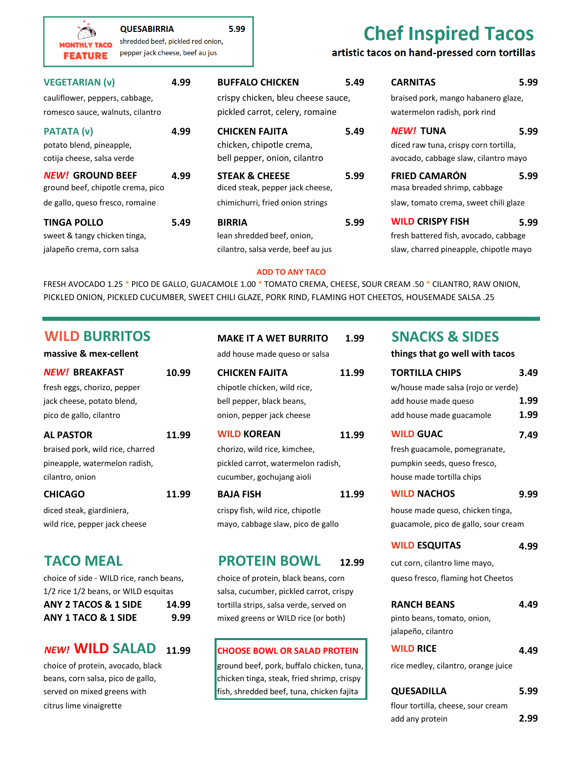| محشنها<br>shredded beef, pickled red onion,<br><b>MONTHLY TACO</b><br>pepper jack cheese, beef au jus<br><b>FEATURE</b> |  | CHEL HISPILED TOLOS<br>artistic tacos on hand-pressed corn tortillas                                    |      |                                                                                                           |      |
|-------------------------------------------------------------------------------------------------------------------------|--|---------------------------------------------------------------------------------------------------------|------|-----------------------------------------------------------------------------------------------------------|------|
| <b>VEGETARIAN (v)</b><br>4.99<br>cauliflower, peppers, cabbage,<br>romesco sauce, walnuts, cilantro                     |  | <b>BUFFALO CHICKEN</b><br>5.49<br>crispy chicken, bleu cheese sauce,<br>pickled carrot, celery, romaine |      | <b>CARNITAS</b><br>5.99<br>braised pork, mango habanero glaze,<br>watermelon radish, pork rind            |      |
| <b>PATATA (v)</b><br>4.99<br>potato blend, pineapple,<br>cotija cheese, salsa verde                                     |  | 5.49<br><b>CHICKEN FAJITA</b><br>chicken, chipotle crema,<br>bell pepper, onion, cilantro               |      | <b>NEW! TUNA</b><br>5.99<br>diced raw tuna, crispy corn tortilla,<br>avocado, cabbage slaw, cilantro mayo |      |
| <b>NEW! GROUND BEEF</b><br>4.99<br>ground beef, chipotle crema, pico                                                    |  | <b>STEAK &amp; CHEESE</b><br>5.99<br>diced steak, pepper jack cheese,                                   |      | <b>FRIED CAMARÓN</b><br>masa breaded shrimp, cabbage                                                      | 5.99 |
| de gallo, queso fresco, romaine                                                                                         |  | chimichurri, fried onion strings                                                                        |      | slaw, tomato crema, sweet chili glaze                                                                     |      |
| <b>TINGA POLLO</b><br>5.49                                                                                              |  | <b>BIRRIA</b>                                                                                           | 5.99 | <b>WILD CRISPY FISH</b>                                                                                   | 5.99 |
| sweet & tangy chicken tinga,                                                                                            |  | lean shredded beef, onion,                                                                              |      | fresh battered fish, avocado, cabbage                                                                     |      |
| jalapeño crema, corn salsa                                                                                              |  | cilantro, salsa verde, beef au jus                                                                      |      | slaw, charred pineapple, chipotle mayo                                                                    |      |

5.99

### **ADD TO ANY TACO**

FRESH AVOCADO 1.25 \* PICO DE GALLO, GUACAMOLE 1.00 \* TOMATO CREMA, CHEESE, SOUR CREAM .50 \* CILANTRO, RAW ONION, PICKLED ONION, PICKLED CUCUMBER, SWEET CHILI GLAZE, PORK RIND, FLAMING HOT CHEETOS, HOUSEMADE SALSA .25

## **WILD BURRITOS MAKE IT A WET BURRITO 1.99 SNACKS & SIDES**

| massive & mex-cellent            |       | add house made queso or salsa      |       | things that go well with tacos       |                                    |  |
|----------------------------------|-------|------------------------------------|-------|--------------------------------------|------------------------------------|--|
| <b>NEW! BREAKFAST</b>            | 10.99 | <b>CHICKEN FAJITA</b>              | 11.99 | <b>TORTILLA CHIPS</b>                | 3.49                               |  |
| fresh eggs, chorizo, pepper      |       | chipotle chicken, wild rice,       |       |                                      | w/house made salsa (rojo or verde) |  |
| jack cheese, potato blend,       |       | bell pepper, black beans,          |       |                                      | 1.99                               |  |
| pico de gallo, cilantro          |       | onion, pepper jack cheese          |       | add house made guacamole             | 1.99                               |  |
| <b>AL PASTOR</b>                 | 11.99 | <b>WILD KOREAN</b>                 | 11.99 | <b>WILD GUAC</b>                     | 7.49                               |  |
| braised pork, wild rice, charred |       | chorizo, wild rice, kimchee,       |       | fresh guacamole, pomegranate,        |                                    |  |
| pineapple, watermelon radish,    |       | pickled carrot, watermelon radish, |       | pumpkin seeds, queso fresco,         |                                    |  |
| cilantro, onion                  |       | cucumber, gochujang aioli          |       | house made tortilla chips            |                                    |  |
| <b>CHICAGO</b>                   | 11.99 | <b>BAJA FISH</b>                   | 11.99 | <b>WILD NACHOS</b>                   | 9.99                               |  |
| diced steak, giardiniera,        |       | crispy fish, wild rice, chipotle   |       | house made queso, chicken tinga,     |                                    |  |
| wild rice, pepper jack cheese    |       | mayo, cabbage slaw, pico de gallo  |       | guacamole, pico de gallo, sour cream |                                    |  |
|                                  |       |                                    |       |                                      |                                    |  |

**QUESABIRRIA** 

| choice of side - WILD rice, ranch beans, |       |
|------------------------------------------|-------|
| 1/2 rice 1/2 beans, or WILD esquitas     |       |
| <b>ANY 2 TACOS &amp; 1 SIDE</b>          | 14.99 |
| <b>ANY 1 TACO &amp; 1 SIDE</b>           | 9.99  |

### *NEW!* **WILD SALAD 11.99 CHOOSE BOWL OR SALAD PROTEIN WILD RICE 4.49**

citrus lime vinaigrette flour tortilla, cheese, sour cream

| MAKE IT A WET BURRITO              | 1.99  |
|------------------------------------|-------|
| add house made queso or salsa      |       |
| <b>CHICKEN FAJITA</b>              | 11.99 |
| chipotle chicken, wild rice,       |       |
| bell pepper, black beans,          |       |
| onion, pepper jack cheese          |       |
| <b>WILD KOREAN</b>                 | 11.99 |
| chorizo, wild rice, kimchee,       |       |
| pickled carrot, watermelon radish, |       |
| cucumber, gochujang aioli          |       |
| <b>BAJA FISH</b>                   | 11.99 |
| crispy fish, wild rice, chipotle   |       |
| mayo, cabbage slaw, pico de gallo  |       |
|                                    |       |

### **TACO MEAL PROTEIN BOWL 12.99**

choice of protein, black beans, corn salsa, cucumber, pickled carrot, crispy **A** tortilla strips, salsa verde, served on **9.99** mixed greens or WILD rice (or both)

choice of protein, avocado, black ground beef, pork, buffalo chicken, tuna, beans, corn salsa, pico de gallo, chicken tinga, steak, fried shrimp, crispy served on mixed greens with fish, shredded beef, tuna, chicken fajita **QUESADILLA 5.99**

**Chef Inspired Tacos** 

| <b>TALITA OR SIDLA</b>               |      |
|--------------------------------------|------|
| things that go well with tacos       |      |
| <b>TORTILLA CHIPS</b>                | 3.49 |
| w/house made salsa (rojo or verde)   |      |
| add house made queso                 | 1.99 |
| add house made guacamole             | 1.99 |
| <b>WILD GUAC</b>                     | 7.49 |
| fresh guacamole, pomegranate,        |      |
| pumpkin seeds, queso fresco,         |      |
| house made tortilla chips            |      |
| <b>WILD NACHOS</b>                   | 9.99 |
| house made queso, chicken tinga,     |      |
| guacamole, pico de gallo, sour cream |      |
| <b>WILD ESQUITAS</b>                 | 4.99 |
| cut corn, cilantro lime mayo,        |      |
| queso fresco, flaming hot Cheetos    |      |
| <b>RANCH BEANS</b>                   | 4.49 |
| pinto beans, tomato, onion,          |      |
| jalapeño, cilantro                   |      |
| <b>WILD RICE</b>                     | 4.49 |
| rice medley, cilantro, orange juice  |      |

add any protein **2.99**